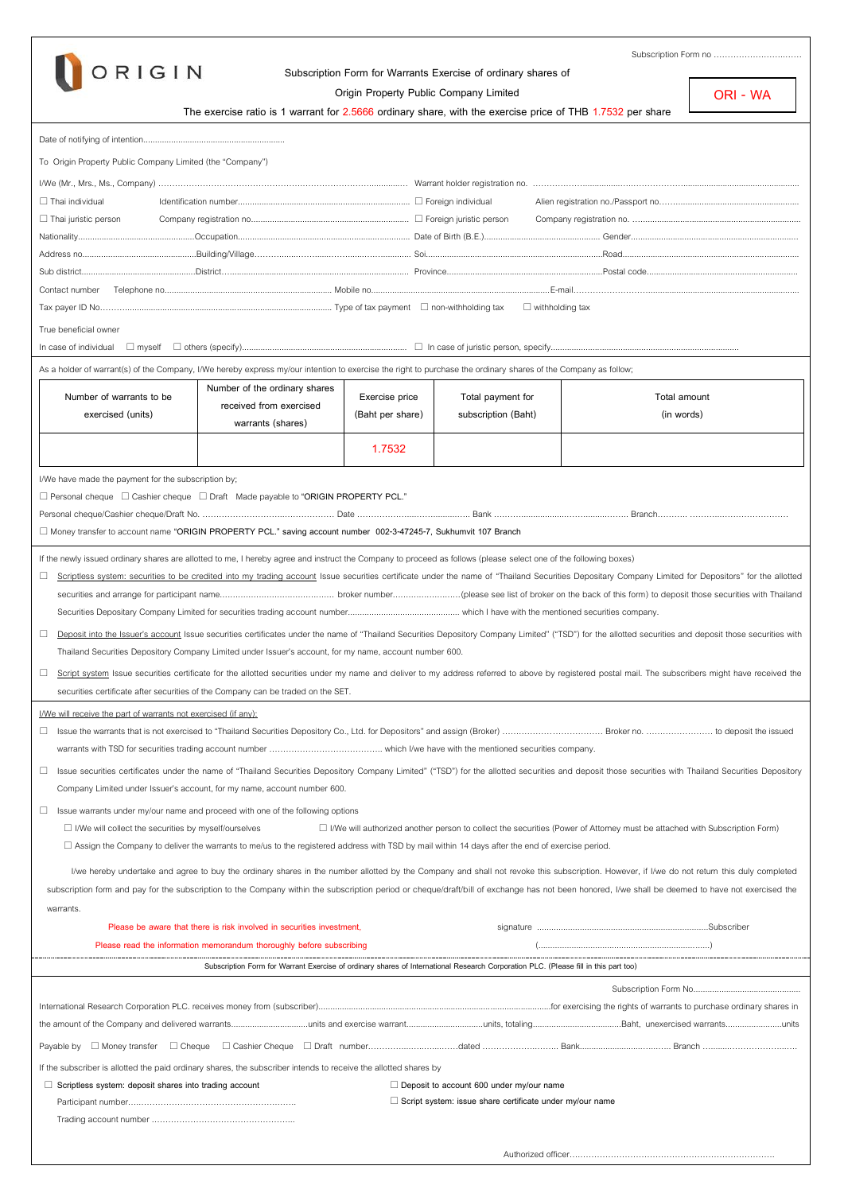

Trading account number .…………………………………………...

## **Subscription Form for Warrants Exercise of ordinary shares of**

**Origin Property Public Company Limited The exercise ratio is 1 warrant for 2.5666 ordinary share, with the exercise price of THB 1.7532 per share** Date of notifying of intention............................................................. To Origin Property Public Company Limited (the "Company") I/We(Mr., Mrs., Ms., Company) …………………………………………….…………………….............… Warrant holder registration no. ………………................…..……………….................................................. Thai individual Identification number.......................................................................... Foreign individual Alien registration no./Passport no……..................................................... Thai juristic person Company registration no.................................................................... Foreign juristic person Company registration no. …..................................................................... Nationality..................................................Occupation.......................................................................... Date of Birth (B.E.).................................................. Gender........................................................................ Address no.................................................Building/Village………........…….......…….......….…............ Soi............................................................................Road............................................................................ Sub district.................................................District…............................................................................. Province...................................................................Postal code................................................................. Contact number Telephone no........................................................................ Mobile no.............................................................................E-mail………………………................................................................. Tax payer ID No………......................................................................................... Type of tax payment non-withholding tax withholding tax True beneficial owner In case of individual myself others (specify)....................................................................... In case of juristic person, specify................................................................................. As a holder of warrant(s) of the Company, I/We hereby express my/our intention to exercise the right to purchase the ordinary shares of the Company as follow; **Number of warrants to be exercised (units) Number of the ordinary shares received from exercised warrants (shares) Exercise price (Baht per share) Total payment for subscription (Baht) Total amount (in words) 1.7532** I/We have made the payment for the subscription by; Personal cheque Cashier cheque DraftMade payable to **"ORIGIN PROPERTY PCL."** Personal cheque/Cashier cheque/Draft No. ………………………...……………… Date ………………....……..........….. Bank ….……...................……..........…….. Branch……….. ………...…………………… Money transfer to account name **"ORIGIN PROPERTY PCL." saving account number 002-3-47245-7, Sukhumvit 107 Branch** If the newly issued ordinary shares are allotted to me, I hereby agree and instruct the Company to proceed as follows (please select one of the following boxes) □ Scriptless system: securities to be credited into my trading account Issue securities certificate under the name of "Thailand Securities Depositary Company Limited for Depositors" for the allotted securities and arrange for participant name............................................ broker number..........................(please see list of broker on the back of this form) to deposit those securities with Thailand Securities Depositary Company Limited for securities trading account number............................................... which I have with the mentioned securities company. Deposit into the Issuer's account Issue securities certificates under the name of "Thailand Securities Depository Company Limited" ("TSD") for the allotted securities and deposit those securities with Thailand Securities Depository Company Limited under Issuer's account, for my name, account number 600.  $\Box$  Script system Issue securities certificate for the allotted securities under my name and deliver to my address referred to above by registered postal mail. The subscribers might have received the securities certificate after securities of the Company can be traded on the SET. I/We will receive the part of warrants not exercised (if any): Issue the warrants that is not exercised to "Thailand Securities Depository Co., Ltd. for Depositors" and assign (Broker) ……………………………… Broker no. …………………… to deposit the issued warrants with TSD for securities trading account number ………………………………….. which I/we have with the mentioned securities company. □ Issue securities certificates under the name of "Thailand Securities Depository Company Limited" ("TSD") for the allotted securities and deposit those securities with Thailand Securities Depository Company Limited under Issuer's account, for my name, account number 600.  $\Box$  Issue warrants under my/our name and proceed with one of the following options I/We will collect the securities by myself/ourselves I/We will authorized another person to collect the securities (Power of Attorney must be attached with Subscription Form) Assign the Company to deliver the warrants to me/us to the registered address with TSD by mail within 14 days after the end of exercise period. I/we hereby undertake and agree to buy the ordinary shares in the number allotted by the Company and shall not revoke this subscription. However, if I/we do not return this duly completed subscription form and pay for the subscription to the Company within the subscription period or cheque/draft/bill of exchange has not been honored, I/we shall be deemed to have not exercised the warrants. **Please be aware that there is risk involved in securities investment,** signature ........................................................................Subscriber Please read the information memorandum thoroughly before subscribing **Subscription Form for Warrant Exercise of ordinary shares of International Research Corporation PLC. (Please fill in this part too)** Subscription Form No...... International Research Compration PLC, receives money from (subscriber) and the state of exercising the rights of warrants to purchase ordinary shares in the amount of the Company and delivered warrants.................................units and exercise warrant.................................units, totaling......................................Baht, unexercised warrants........................units Payable by Money transfer Cheque Cashier Cheque Draft number…………....…..…....……dated ………………..…….. Bank...........................…...….. Branch …........………………...…. If the subscriber is allotted the paid ordinary shares, the subscriber intends to receive the allotted shares by **Scriptless system: deposit shares into trading account Deposit to account 600 under my/our name** Participant number…..………………………………………….……. **Script system: issue share certificate under my/our name ORI - WA**